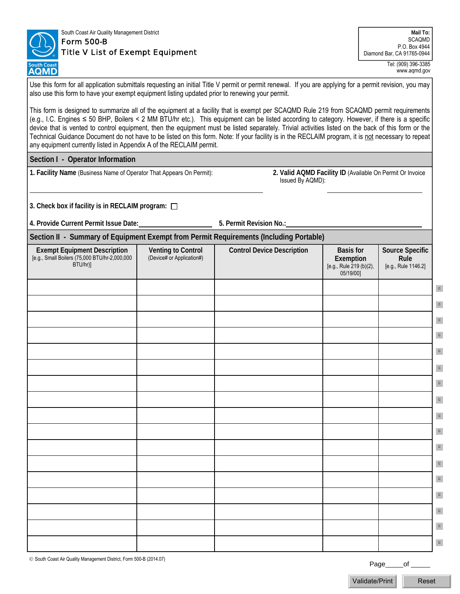

## South Coast Air Quality Management District Form 500-B

## Title V List of Exempt Equipment

**Mail To: SCAOMD** P.O. Box 4944 Diamond Bar, CA 91765-0944

> Tel: (909) 396-3385 www.aqmd.gov

Use this form for all application submittals requesting an initial Title V permit or permit renewal. If you are applying for a permit revision, you may also use this form to have your exempt equipment listing updated prior to renewing your permit.

This form is designed to summarize all of the equipment at a facility that is exempt per SCAQMD Rule 219 from SCAQMD permit requirements (e.g., I.C. Engines ≤ 50 BHP, Boilers < 2 MM BTU/hr etc.). This equipment can be listed according to category. However, if there is a specific device that is vented to control equipment, then the equipment must be listed separately. Trivial activities listed on the back of this form or the Technical Guidance Document do not have to be listed on this form. Note: If your facility is in the RECLAIM program, it is not necessary to repeat any equipment currently listed in Appendix A of the RECLAIM permit.

**Section I - Operator Information** 

**1. Facility Name** (Business Name of Operator That Appears On Permit): **2. Valid AQMD Facility ID** (Available On Permit Or Invoice

Issued By AQMD):

**3. Check box if facility is in RECLAIM program:** 

**4. Provide Current Permit Issue Date: 5. Permit Revision No.:**

**Section II - Summary of Equipment Exempt from Permit Requirements (Including Portable)** 

| Exempt Equipment Description<br>[e.g., Small Boilers (75,000 BTU/hr-2,000,000<br>BTU/hr)] | <b>Venting to Control</b><br>(Device# or Application#) | <b>Control Device Description</b> | <b>Basis for</b><br>Exemption<br>[e.g., Rule 219 (b)(2),<br>05/19/00] | Source Specific<br>Rule<br>[e.g., Rule 1146.2] |              |  |
|-------------------------------------------------------------------------------------------|--------------------------------------------------------|-----------------------------------|-----------------------------------------------------------------------|------------------------------------------------|--------------|--|
|                                                                                           |                                                        |                                   |                                                                       |                                                | $\,$ c       |  |
|                                                                                           |                                                        |                                   |                                                                       |                                                | $\mathbf{C}$ |  |
|                                                                                           |                                                        |                                   |                                                                       |                                                | $\mathbf{c}$ |  |
|                                                                                           |                                                        |                                   |                                                                       |                                                | $\mathbf{C}$ |  |
|                                                                                           |                                                        |                                   |                                                                       |                                                | $\mathbf{c}$ |  |
|                                                                                           |                                                        |                                   |                                                                       |                                                | $\mathbf{C}$ |  |
|                                                                                           |                                                        |                                   |                                                                       |                                                | $\mathbf{c}$ |  |
|                                                                                           |                                                        |                                   |                                                                       |                                                | $\mathbf{C}$ |  |
|                                                                                           |                                                        |                                   |                                                                       |                                                | $\mathbf{C}$ |  |
|                                                                                           |                                                        |                                   |                                                                       |                                                | $\mathbf{C}$ |  |
|                                                                                           |                                                        |                                   |                                                                       |                                                | $\mathbf{C}$ |  |
|                                                                                           |                                                        |                                   |                                                                       |                                                | $\mathbf{C}$ |  |
|                                                                                           |                                                        |                                   |                                                                       |                                                | $\mathbf{c}$ |  |
|                                                                                           |                                                        |                                   |                                                                       |                                                | $\mathbf{c}$ |  |
|                                                                                           |                                                        |                                   |                                                                       |                                                | $\mathbf{C}$ |  |
|                                                                                           |                                                        |                                   |                                                                       |                                                | $\mathbf{C}$ |  |
|                                                                                           |                                                        |                                   |                                                                       |                                                | $\mathbf{C}$ |  |

 $\oslash$  South Coast Air Quality Management District, Form 500-B (2014.07)

Page of

Validate/Print Reset